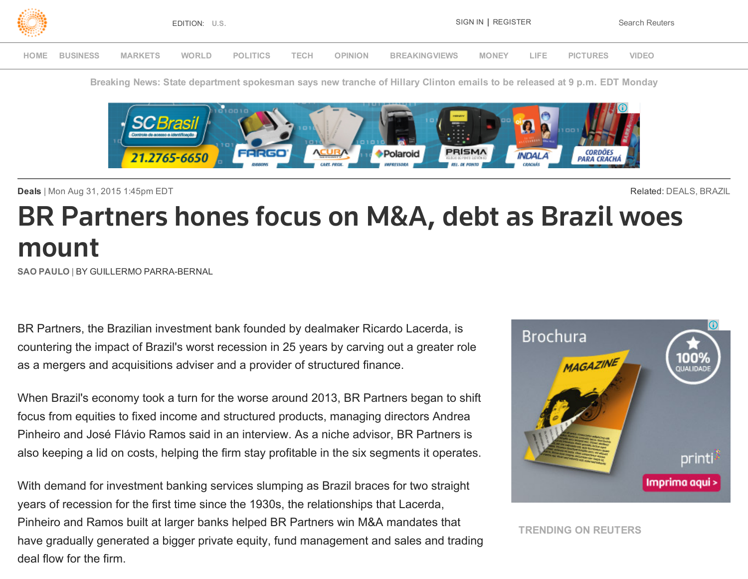

Breaking News: State department spokesman says new tranche of Hillary Clinton emails to be released at 9 p.m. EDT Monday



Deals | Mon Aug 31, 2015 1:45pm EDT **Related: [DEALS,](http://www.reuters.com/finance/deals) [BRAZIL](http://www.reuters.com/places/brazil)** 

# BR Partners hones focus on M&A, debt as Brazil woes mount

SAO PAULO | BY GUILLERMO PARRA-BERNAL

BR Partners, the Brazilian investment bank founded by dealmaker Ricardo Lacerda, is countering the impact of Brazil's worst recession in 25 years by carving out a greater role as a mergers and acquisitions adviser and a provider of structured finance.

When Brazil's economy took a turn for the worse around 2013, BR Partners began to shift focus from equities to fixed income and structured products, managing directors Andrea Pinheiro and José Flávio Ramos said in an interview. As a niche advisor, BR Partners is also keeping a lid on costs, helping the firm stay profitable in the six segments it operates.

With demand for investment banking services slumping as Brazil braces for two straight years of recession for the first time since the 1930s, the relationships that Lacerda, Pinheiro and Ramos built at larger banks helped BR Partners win M&A mandates that have gradually generated a bigger private equity, fund management and sales and trading deal flow for the firm.



TRENDING ON REUTERS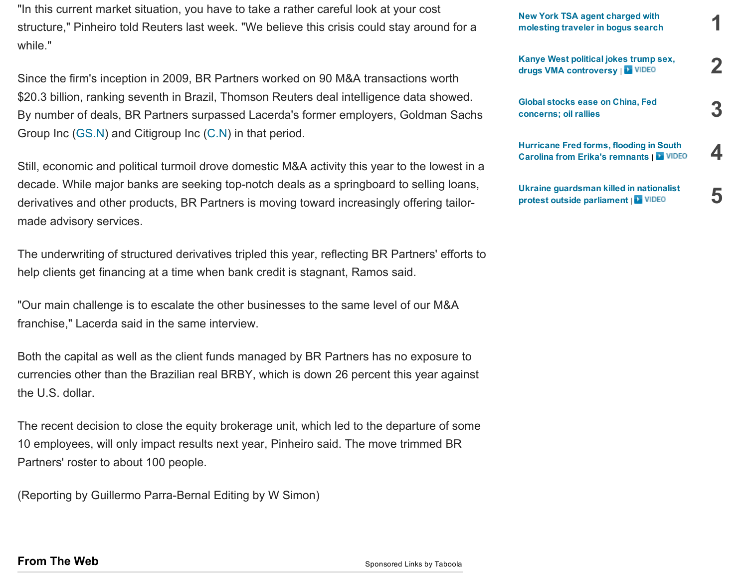"In this current market situation, you have to take a rather careful look at your cost structure," Pinheiro told Reuters last week. "We believe this crisis could stay around for a while."

Since the firm's inception in 2009, BR Partners worked on 90 M&A transactions worth \$20.3 billion, ranking seventh in Brazil, Thomson Reuters deal intelligence data showed. By number of deals, BR Partners surpassed Lacerda's former employers, Goldman Sachs Group Inc [\(GS.N\)](http://www.reuters.com/finance/stocks/overview?symbol=GS.N) and Citigroup Inc [\(C.N\)](http://www.reuters.com/finance/stocks/overview?symbol=C.N) in that period.

Still, economic and political turmoil drove domestic M&A activity this year to the lowest in a decade. While major banks are seeking top-notch deals as a springboard to selling loans, derivatives and other products, BR Partners is moving toward increasingly offering tailormade advisory services.

The underwriting of structured derivatives tripled this year, reflecting BR Partners' efforts to help clients get financing at a time when bank credit is stagnant, Ramos said.

"Our main challenge is to escalate the other businesses to the same level of our M&A franchise," Lacerda said in the same interview.

Both the capital as well as the client funds managed by BR Partners has no exposure to currencies other than the Brazilian real BRBY, which is down 26 percent this year against the U.S. dollar.

The recent decision to close the equity brokerage unit, which led to the departure of some 10 employees, will only impact results next year, Pinheiro said. The move trimmed BR Partners' roster to about 100 people.

(Reporting by Guillermo Parra-Bernal Editing by W Simon)

| <b>New York TSA agent charged with</b><br>molesting traveler in bogus search               |  |
|--------------------------------------------------------------------------------------------|--|
| Kanye West political jokes trump sex,<br>drugs VMA controversy   NIDEO                     |  |
| Global stocks ease on China, Fed<br>concerns; oil rallies                                  |  |
| Hurricane Fred forms, flooding in South<br><b>Carolina from Erika's remnants   L VIDEO</b> |  |
| Ukraine guardsman killed in nationalist<br>protest outside parliament  <br><b>D</b> VIDEO  |  |

### **From The Web** [Sponsored](http://www.taboola.com/en/popup?template=colorbox&taboola_utm_source=reuters-reuters&taboola_utm_medium=bytaboola&taboola_utm_content=ab_thumbs-2r_thumbs-above-links:below-main-column:) Links by Taboola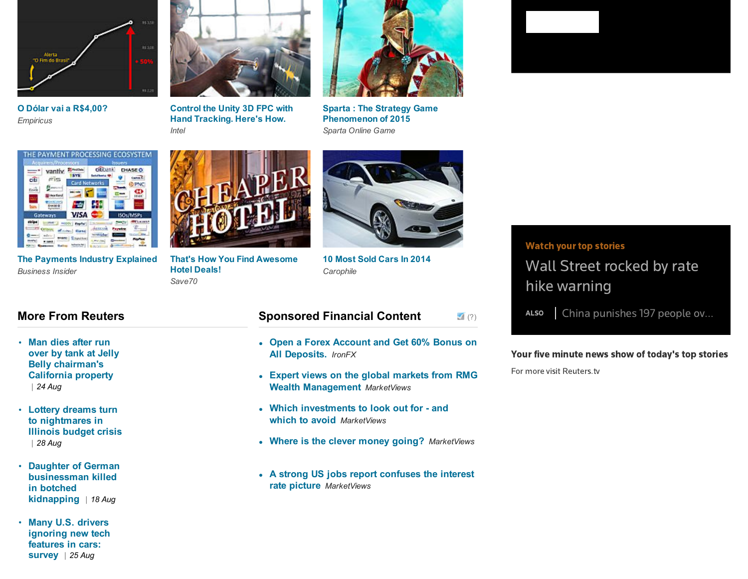

*Empiricus*



*Intel Sparta Online Game* O Dólar vai a [R\\$4,00?](http://empiricus.com.br/lp/dolar_lp4/?code=ta_3a_dolar&utm_source=taboola&utm_medium=artigo) Control the Unity 3D FPC with Hand [Tracking.](https://software.intel.com/en-us/articles/an-intel-realsense-technology-driven-first-person-controller-in-unity-3d/?utm_campaign=IHI-RealSense-Q2&utm_medium=syndication&utm_source=Taboola&utm_content=&utm_term=Q2&&utm_term=reuters-reuters&utm_content=Control+the+Unity+3D+FPC+with+Hand+Tracking.+Here%27s+How.) Here's How.



Sparta : The Strategy Game [Phenomenon](http://plarium.com/en/strategy-games/sparta-war-of-empires/?plid=64552&pxl=taboola_fr&&publisherID=reuters-reuters) of 2015



*Business Insider* The [Payments](http://www.businessinsider.com/the-payments-industry-explained-report-2015-1?utm_source=taboola&utm_medium=cpc&utm_content=taboola&utm_campaign=taboolaMain&utm_term=reuters-reuters) Industry Explained That's How You Find [Awesome](http://www.save70.com/hotels/?utm_source=taboola_save70_hotels&utm_medium=cpc&utm_campaign=save70_hotels&utm_source=taboola&utm_medium=reuters-reuters)



*Save70* Hotel Deals!



*[Carophile](http://www.carophile.com/top-selling-cars-2014/?utm_source=taboola&utm_medium=referral&utm_term=reuters-reuters)* 10 Most Sold Cars In 2014

### More From Reuters

- Man dies after run over by tank at Jelly Belly [chairman's](http://www.reuters.com/article/2015/08/25/us-usa-tank-california-idUSKCN0QU03620150825) California property *| 24 Aug*
- Lottery dreams turn to [nightmares](http://www.reuters.com/article/2015/08/28/us-usa-illinois-lottery-idUSKCN0QX2H420150828) in Illinois budget crisis *| 28 Aug*
- Daughter of German [businessman](http://www.reuters.com/article/2015/08/18/us-crime-germany-idUSKCN0QN1T420150818) killed in botched kidnapping *| 18 Aug*
- Many U.S. drivers [ignoring](http://www.reuters.com/article/2015/08/25/us-autos-tech-idUSKCN0QU25B20150825) new tech features in cars: survey *| 25 Aug*

#### $\sqrt{ }$  [\(?\)](http://www.dianomi.com/cms/register-interest/?utm_source=network&utm_medium=smartad_sponsor_link) Sponsored Financial Content

- Open a Forex Account and Get 60% Bonus on All [Deposits.](http://www.dianomi.com/click.epl?pn=4570&offer=1089070&ad=2901&savid=6806&campaign=6727&said=1734&adv=3039&unique_id=VeSg78CoyKgAAFIPeJIAAAAL&psa=931356646&smartreferer=http%3A%2F%2Fwww%2Ereuters%2Ecom%2Farticle%2F2015%2F08%2F31%2Fus%2Dbr%2Dpartners%2Dbrazil%2Doutlook%2DidUSKCN0R01SF20150831) *IronFX*
- Expert views on the global markets from RMG Wealth [Management](http://www.dianomi.com/click.epl?pn=3575&offer=801830&ad=1833&savid=4147&campaign=6727&said=1734&adv=3039&unique_id=VeSg78CoyKgAAFIPeJIAAAAL&psa=481815728&smartreferer=http%3A%2F%2Fwww%2Ereuters%2Ecom%2Farticle%2F2015%2F08%2F31%2Fus%2Dbr%2Dpartners%2Dbrazil%2Doutlook%2DidUSKCN0R01SF20150831) *MarketViews*
- Which [investments](http://www.dianomi.com/click.epl?pn=5040&offer=1246987&ad=3388&savid=8393&campaign=6727&said=1734&adv=3039&unique_id=VeSg78CoyKgAAFIPeJIAAAAL&psa=809419687&smartreferer=http%3A%2F%2Fwww%2Ereuters%2Ecom%2Farticle%2F2015%2F08%2F31%2Fus%2Dbr%2Dpartners%2Dbrazil%2Doutlook%2DidUSKCN0R01SF20150831) to look out for and which to avoid *MarketViews*
- Where is the clever money going? *[MarketViews](http://www.dianomi.com/click.epl?pn=3493&offer=783843&ad=1738&savid=3906&campaign=6727&said=1734&adv=3039&unique_id=VeSg78CoyKgAAFIPeJIAAAAL&psa=481815726&smartreferer=http%3A%2F%2Fwww%2Ereuters%2Ecom%2Farticle%2F2015%2F08%2F31%2Fus%2Dbr%2Dpartners%2Dbrazil%2Doutlook%2DidUSKCN0R01SF20150831)*
- A strong US jobs report [confuses](http://www.dianomi.com/click.epl?pn=3792&offer=942696&ad=2315&savid=5172&campaign=6727&said=1734&adv=3039&unique_id=VeSg78CoyKgAAFIPeJIAAAAL&psa=481815743&smartreferer=http%3A%2F%2Fwww%2Ereuters%2Ecom%2Farticle%2F2015%2F08%2F31%2Fus%2Dbr%2Dpartners%2Dbrazil%2Doutlook%2DidUSKCN0R01SF20150831) the interest rate picture *MarketViews*

### Watch your top stories

Wall Street rocked by rate hike warning

ALSO | China punishes 197 people ov...

#### Your five minute news show of today's top stories

For more visit [Reuters.tv](http://www.reuters.tv/)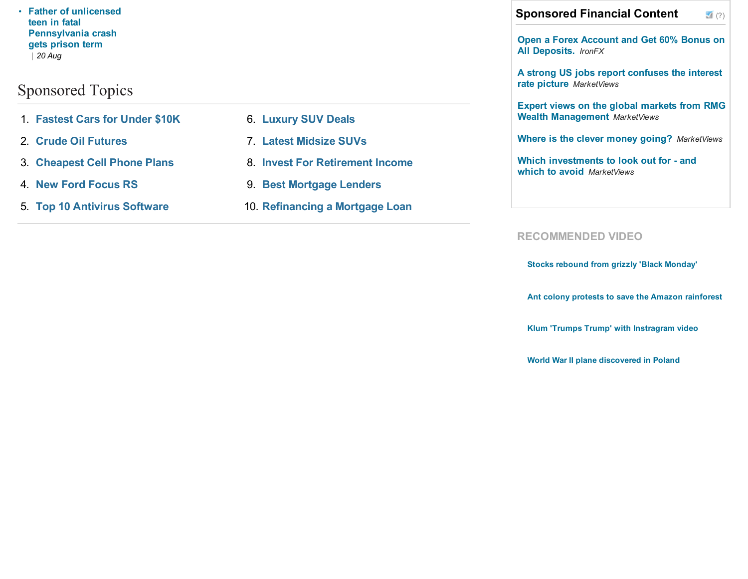teen in fatal [Pennsylvania](http://www.reuters.com/article/2015/08/20/us-usa-pennsylvania-driver-idUSKCN0QP1ZC20150820) crash gets prison term *| 20 Aug*

## [Sponsored](javascript:void(o)) Topics

- 1. [Fastest](http://search2.media.net/Fastest_Cars_for_Under_%252410K.cfm?&vsid=773770111097142&vi=1441046768444761460&dytm=1441046767307&rtbsd=6&verid=111299&hvsid=00001441046766925031434109716270&upk=1441046767.19602&sttm=1441046766925&=&kp=1&kbc=1200786123&kt=244&ki=324640386&ktd=37383395361359100&kbc2=||l=1016||&fdkt=244&fp=663ebxYAjC4RisuJH4VORPGU2IkfkufmektiOI09Y4Z6WiBWRLWweuJEb%2B63a%2B5Wcdd48%2FkQF3tXvcxlmKMz14HhbGBkSbZaH%2FbOFcAY9nJBifeqYLdxk7clcv%2FLbrAV&c=y1IdCF44r3slHeEqyh_8dQ&cme=E5hxE4Yi32IdWlo7blHr%2Fdm59HLuXfRC6raSGAxeVizzEF0XoFclARyDJE5ThGL94g0mNUweqJ0pjQU80vyfxAkvt5VSHHHGmF2kc%2BmYtsbALaRkOoqhzVgi0qXSyGAUlAqvTC4hevxQbGfJFJOX1XPr8yQB6G1e%2FrKhnbUB6QKqw91VBAcrY%2BqGW1Uuyfbil8IXtVvP48c%3D%7C%7CNDHRnZ9Gz3KXlI%2Bi9OnZqQ%3D%3D%7C5gDUJdTGiJzedmq9hanWYg%3D%3D%7CN7fu2vKt8%2Fs%3D%7CFcl4VLL%2BIaKov1aQQ4rz0DPXnfOLjJdi4LI%2FnIV56IIyVrHJCDBh5OgV3S%2BDb%2BnO%2BHlM47aC9RKqRXqIfAQDMvikYWuVCy6A4Txg2SQVtdDA%2FD4unLcAoBlSdBcSobB4ST%2B%2F%2FUNn4sTQpQHljDtHMA%3D%3D%7CsRBSg3CPSiQ%3D%7Ckmm6Z1oglruOoEXYEZQMvVUDR95BZ3p3XOYoI0l34S%2BmuFmYEOt%2BEQ%3D%3D%7C&cid=8CUG1D56B&crid=422833709&size=620x200&lpid=&tsid=15025&ksu=135&chid=&https=0&extKwds=0&kwdsMaxTm=400&ugd=4&maxProviderPixel=&rms=1441046769&&abpl=2) Cars for Under \$10K
- 2. Crude Oil [Futures](http://search2.media.net/Crude_Oil_Futures.cfm?&vsid=773770111097142&vi=1441046768444761460&dytm=1441046767307&rtbsd=6&verid=111299&hvsid=00001441046766925031434109716270&upk=1441046767.19602&sttm=1441046766925&=&tdAdd[]=%7C%40%7Cabp%3A3%3A2&kp=2&kbc=1200786123&kt=244&ki=7330051&ktd=37383395378136320&kbc2=||l=1016||&fdkt=244&fp=663ebxYAjC4RisuJH4VORPGU2IkfkufmektiOI09Y4Z6WiBWRLWweuJEb%2B63a%2B5Wcdd48%2FkQF3tXvcxlmKMz14HhbGBkSbZaH%2FbOFcAY9nJBifeqYLdxk7clcv%2FLbrAV&c=y1IdCF44r3slHeEqyh_8dQ&cme=E5hxE4Yi32IdWlo7blHr%2Fdm59HLuXfRC6raSGAxeVizzEF0XoFclARyDJE5ThGL94g0mNUweqJ0pjQU80vyfxAkvt5VSHHHGmF2kc%2BmYtsbALaRkOoqhzVgi0qXSyGAUlAqvTC4hevxQbGfJFJOX1XPr8yQB6G1e%2FrKhnbUB6QKqw91VBAcrY%2BqGW1Uuyfbil8IXtVvP48c%3D%7C%7CNDHRnZ9Gz3KXlI%2Bi9OnZqQ%3D%3D%7C5gDUJdTGiJzedmq9hanWYg%3D%3D%7CN7fu2vKt8%2Fs%3D%7CFcl4VLL%2BIaKov1aQQ4rz0DPXnfOLjJdi4LI%2FnIV56IIyVrHJCDBh5OgV3S%2BDb%2BnO%2BHlM47aC9RKqRXqIfAQDMvikYWuVCy6A4Txg2SQVtdDA%2FD4unLcAoBlSdBcSobB4ST%2B%2F%2FUNn4sTQpQHljDtHMA%3D%3D%7CsRBSg3CPSiQ%3D%7Ckmm6Z1oglruOoEXYEZQMvVUDR95BZ3p3XOYoI0l34S%2BmuFmYEOt%2BEQ%3D%3D%7C&cid=8CUG1D56B&crid=422833709&size=620x200&lpid=&tsid=15025&ksu=135&chid=&https=0&extKwds=0&kwdsMaxTm=400&ugd=4&maxProviderPixel=&rms=1441046769&&abpl=2)
- 3. [Cheapest](http://search2.media.net/Cheapest_Cell_Phone_Plans.cfm?&vsid=773770111097142&vi=1441046768444761460&dytm=1441046767307&rtbsd=6&verid=111299&hvsid=00001441046766925031434109716270&upk=1441046767.19602&sttm=1441046766925&=&tdAdd[]=%7C%40%7Cabp%3A3%3A2&tdAdd[]=%7C%40%7Cabp%3A3%3A2&kp=3&kbc=1200786123&kt=244&ki=5687876&ktd=37383395378201860&kbc2=||l=1016||&fdkt=244&fp=663ebxYAjC4RisuJH4VORPGU2IkfkufmektiOI09Y4Z6WiBWRLWweuJEb%2B63a%2B5Wcdd48%2FkQF3tXvcxlmKMz14HhbGBkSbZaH%2FbOFcAY9nJBifeqYLdxk7clcv%2FLbrAV&c=y1IdCF44r3slHeEqyh_8dQ&cme=E5hxE4Yi32IdWlo7blHr%2Fdm59HLuXfRC6raSGAxeVizzEF0XoFclARyDJE5ThGL94g0mNUweqJ0pjQU80vyfxAkvt5VSHHHGmF2kc%2BmYtsbALaRkOoqhzVgi0qXSyGAUlAqvTC4hevxQbGfJFJOX1XPr8yQB6G1e%2FrKhnbUB6QKqw91VBAcrY%2BqGW1Uuyfbil8IXtVvP48c%3D%7C%7CNDHRnZ9Gz3KXlI%2Bi9OnZqQ%3D%3D%7C5gDUJdTGiJzedmq9hanWYg%3D%3D%7CN7fu2vKt8%2Fs%3D%7CFcl4VLL%2BIaKov1aQQ4rz0DPXnfOLjJdi4LI%2FnIV56IIyVrHJCDBh5OgV3S%2BDb%2BnO%2BHlM47aC9RKqRXqIfAQDMvikYWuVCy6A4Txg2SQVtdDA%2FD4unLcAoBlSdBcSobB4ST%2B%2F%2FUNn4sTQpQHljDtHMA%3D%3D%7CsRBSg3CPSiQ%3D%7Ckmm6Z1oglruOoEXYEZQMvVUDR95BZ3p3XOYoI0l34S%2BmuFmYEOt%2BEQ%3D%3D%7C&cid=8CUG1D56B&crid=422833709&size=620x200&lpid=&tsid=15025&ksu=135&chid=&https=0&extKwds=0&kwdsMaxTm=400&ugd=4&maxProviderPixel=&rms=1441046769&&abpl=2) Cell Phone Plans
- 4. New Ford [Focus](http://search2.media.net/New_Ford_Focus_RS.cfm?&vsid=773770111097142&vi=1441046768444761460&dytm=1441046767307&rtbsd=6&verid=111299&hvsid=00001441046766925031434109716270&upk=1441046767.19602&sttm=1441046766925&=&tdAdd[]=%7C%40%7Cabp%3A3%3A2&tdAdd[]=%7C%40%7Cabp%3A3%3A2&tdAdd[]=%7C%40%7Cabp%3A3%3A2&kp=4&kbc=1200786123&kt=244&ki=20384244&ktd=37383395378201860&kbc2=||l=1016||&fdkt=244&fp=663ebxYAjC4RisuJH4VORPGU2IkfkufmektiOI09Y4Z6WiBWRLWweuJEb%2B63a%2B5Wcdd48%2FkQF3tXvcxlmKMz14HhbGBkSbZaH%2FbOFcAY9nJBifeqYLdxk7clcv%2FLbrAV&c=y1IdCF44r3slHeEqyh_8dQ&cme=E5hxE4Yi32IdWlo7blHr%2Fdm59HLuXfRC6raSGAxeVizzEF0XoFclARyDJE5ThGL94g0mNUweqJ0pjQU80vyfxAkvt5VSHHHGmF2kc%2BmYtsbALaRkOoqhzVgi0qXSyGAUlAqvTC4hevxQbGfJFJOX1XPr8yQB6G1e%2FrKhnbUB6QKqw91VBAcrY%2BqGW1Uuyfbil8IXtVvP48c%3D%7C%7CNDHRnZ9Gz3KXlI%2Bi9OnZqQ%3D%3D%7C5gDUJdTGiJzedmq9hanWYg%3D%3D%7CN7fu2vKt8%2Fs%3D%7CFcl4VLL%2BIaKov1aQQ4rz0DPXnfOLjJdi4LI%2FnIV56IIyVrHJCDBh5OgV3S%2BDb%2BnO%2BHlM47aC9RKqRXqIfAQDMvikYWuVCy6A4Txg2SQVtdDA%2FD4unLcAoBlSdBcSobB4ST%2B%2F%2FUNn4sTQpQHljDtHMA%3D%3D%7CsRBSg3CPSiQ%3D%7Ckmm6Z1oglruOoEXYEZQMvVUDR95BZ3p3XOYoI0l34S%2BmuFmYEOt%2BEQ%3D%3D%7C&cid=8CUG1D56B&crid=422833709&size=620x200&lpid=&tsid=15025&ksu=135&chid=&https=0&extKwds=0&kwdsMaxTm=400&ugd=4&maxProviderPixel=&rms=1441046769&&abpl=2) RS
- 5. Top 10 [Antivirus](http://search2.media.net/Top_10_Antivirus_Software.cfm?&vsid=773770111097142&vi=1441046768444761460&dytm=1441046767307&rtbsd=6&verid=111299&hvsid=00001441046766925031434109716270&upk=1441046767.19602&sttm=1441046766925&=&tdAdd[]=%7C%40%7Cabp%3A3%3A2&tdAdd[]=%7C%40%7Cabp%3A3%3A2&tdAdd[]=%7C%40%7Cabp%3A3%3A2&tdAdd[]=%7C%40%7Cabp%3A3%3A2&kp=5&kbc=1200786123&kt=244&ki=28641497&ktd=37383395378201860&kbc2=||l=1016||&fdkt=244&fp=663ebxYAjC4RisuJH4VORPGU2IkfkufmektiOI09Y4Z6WiBWRLWweuJEb%2B63a%2B5Wcdd48%2FkQF3tXvcxlmKMz14HhbGBkSbZaH%2FbOFcAY9nJBifeqYLdxk7clcv%2FLbrAV&c=y1IdCF44r3slHeEqyh_8dQ&cme=E5hxE4Yi32IdWlo7blHr%2Fdm59HLuXfRC6raSGAxeVizzEF0XoFclARyDJE5ThGL94g0mNUweqJ0pjQU80vyfxAkvt5VSHHHGmF2kc%2BmYtsbALaRkOoqhzVgi0qXSyGAUlAqvTC4hevxQbGfJFJOX1XPr8yQB6G1e%2FrKhnbUB6QKqw91VBAcrY%2BqGW1Uuyfbil8IXtVvP48c%3D%7C%7CNDHRnZ9Gz3KXlI%2Bi9OnZqQ%3D%3D%7C5gDUJdTGiJzedmq9hanWYg%3D%3D%7CN7fu2vKt8%2Fs%3D%7CFcl4VLL%2BIaKov1aQQ4rz0DPXnfOLjJdi4LI%2FnIV56IIyVrHJCDBh5OgV3S%2BDb%2BnO%2BHlM47aC9RKqRXqIfAQDMvikYWuVCy6A4Txg2SQVtdDA%2FD4unLcAoBlSdBcSobB4ST%2B%2F%2FUNn4sTQpQHljDtHMA%3D%3D%7CsRBSg3CPSiQ%3D%7Ckmm6Z1oglruOoEXYEZQMvVUDR95BZ3p3XOYoI0l34S%2BmuFmYEOt%2BEQ%3D%3D%7C&cid=8CUG1D56B&crid=422833709&size=620x200&lpid=&tsid=15025&ksu=135&chid=&https=0&extKwds=0&kwdsMaxTm=400&ugd=4&maxProviderPixel=&rms=1441046769&&abpl=2) Software
- 6. [Luxury](http://search2.media.net/Luxury_SUV_Deals.cfm?&vsid=773770111097142&vi=1441046768444761460&dytm=1441046767307&rtbsd=6&verid=111299&hvsid=00001441046766925031434109716270&upk=1441046767.19602&sttm=1441046766925&=&tdAdd[]=%7C%40%7Cabp%3A3%3A2&tdAdd[]=%7C%40%7Cabp%3A3%3A2&tdAdd[]=%7C%40%7Cabp%3A3%3A2&tdAdd[]=%7C%40%7Cabp%3A3%3A2&tdAdd[]=%7C%40%7Cabp%3A3%3A2&kp=6&kbc=1200786123&kt=244&ki=316734433&ktd=37383395378201860&kbc2=||l=1016||&fdkt=244&fp=663ebxYAjC4RisuJH4VORPGU2IkfkufmektiOI09Y4Z6WiBWRLWweuJEb%2B63a%2B5Wcdd48%2FkQF3tXvcxlmKMz14HhbGBkSbZaH%2FbOFcAY9nJBifeqYLdxk7clcv%2FLbrAV&c=y1IdCF44r3slHeEqyh_8dQ&cme=E5hxE4Yi32IdWlo7blHr%2Fdm59HLuXfRC6raSGAxeVizzEF0XoFclARyDJE5ThGL94g0mNUweqJ0pjQU80vyfxAkvt5VSHHHGmF2kc%2BmYtsbALaRkOoqhzVgi0qXSyGAUlAqvTC4hevxQbGfJFJOX1XPr8yQB6G1e%2FrKhnbUB6QKqw91VBAcrY%2BqGW1Uuyfbil8IXtVvP48c%3D%7C%7CNDHRnZ9Gz3KXlI%2Bi9OnZqQ%3D%3D%7C5gDUJdTGiJzedmq9hanWYg%3D%3D%7CN7fu2vKt8%2Fs%3D%7CFcl4VLL%2BIaKov1aQQ4rz0DPXnfOLjJdi4LI%2FnIV56IIyVrHJCDBh5OgV3S%2BDb%2BnO%2BHlM47aC9RKqRXqIfAQDMvikYWuVCy6A4Txg2SQVtdDA%2FD4unLcAoBlSdBcSobB4ST%2B%2F%2FUNn4sTQpQHljDtHMA%3D%3D%7CsRBSg3CPSiQ%3D%7Ckmm6Z1oglruOoEXYEZQMvVUDR95BZ3p3XOYoI0l34S%2BmuFmYEOt%2BEQ%3D%3D%7C&cid=8CUG1D56B&crid=422833709&size=620x200&lpid=&tsid=15025&ksu=135&chid=&https=0&extKwds=0&kwdsMaxTm=400&ugd=4&maxProviderPixel=&rms=1441046769&&abpl=2) SUV Deals
- 7. Latest [Midsize](http://search2.media.net/Latest_Midsize_SUVs.cfm?&vsid=773770111097142&vi=1441046768444761460&dytm=1441046767307&rtbsd=6&verid=111299&hvsid=00001441046766925031434109716270&upk=1441046767.19602&sttm=1441046766925&=&tdAdd[]=%7C%40%7Cabp%3A3%3A2&tdAdd[]=%7C%40%7Cabp%3A3%3A2&tdAdd[]=%7C%40%7Cabp%3A3%3A2&tdAdd[]=%7C%40%7Cabp%3A3%3A2&tdAdd[]=%7C%40%7Cabp%3A3%3A2&tdAdd[]=%7C%40%7Cabp%3A3%3A2&kp=7&kbc=1200786123&kt=244&ki=324523298&ktd=37383395361424640&kbc2=||l=1016||&fdkt=244&fp=663ebxYAjC4RisuJH4VORPGU2IkfkufmektiOI09Y4Z6WiBWRLWweuJEb%2B63a%2B5Wcdd48%2FkQF3tXvcxlmKMz14HhbGBkSbZaH%2FbOFcAY9nJBifeqYLdxk7clcv%2FLbrAV&c=y1IdCF44r3slHeEqyh_8dQ&cme=E5hxE4Yi32IdWlo7blHr%2Fdm59HLuXfRC6raSGAxeVizzEF0XoFclARyDJE5ThGL94g0mNUweqJ0pjQU80vyfxAkvt5VSHHHGmF2kc%2BmYtsbALaRkOoqhzVgi0qXSyGAUlAqvTC4hevxQbGfJFJOX1XPr8yQB6G1e%2FrKhnbUB6QKqw91VBAcrY%2BqGW1Uuyfbil8IXtVvP48c%3D%7C%7CNDHRnZ9Gz3KXlI%2Bi9OnZqQ%3D%3D%7C5gDUJdTGiJzedmq9hanWYg%3D%3D%7CN7fu2vKt8%2Fs%3D%7CFcl4VLL%2BIaKov1aQQ4rz0DPXnfOLjJdi4LI%2FnIV56IIyVrHJCDBh5OgV3S%2BDb%2BnO%2BHlM47aC9RKqRXqIfAQDMvikYWuVCy6A4Txg2SQVtdDA%2FD4unLcAoBlSdBcSobB4ST%2B%2F%2FUNn4sTQpQHljDtHMA%3D%3D%7CsRBSg3CPSiQ%3D%7Ckmm6Z1oglruOoEXYEZQMvVUDR95BZ3p3XOYoI0l34S%2BmuFmYEOt%2BEQ%3D%3D%7C&cid=8CUG1D56B&crid=422833709&size=620x200&lpid=&tsid=15025&ksu=135&chid=&https=0&extKwds=0&kwdsMaxTm=400&ugd=4&maxProviderPixel=&rms=1441046769&&abpl=2) SUVs
- 8. Invest For [Retirement](http://search2.media.net/Invest_For_Retirement_Income.cfm?&vsid=773770111097142&vi=1441046768444761460&dytm=1441046767307&rtbsd=6&verid=111299&hvsid=00001441046766925031434109716270&upk=1441046767.19602&sttm=1441046766925&=&tdAdd[]=%7C%40%7Cabp%3A3%3A2&tdAdd[]=%7C%40%7Cabp%3A3%3A2&tdAdd[]=%7C%40%7Cabp%3A3%3A2&tdAdd[]=%7C%40%7Cabp%3A3%3A2&tdAdd[]=%7C%40%7Cabp%3A3%3A2&tdAdd[]=%7C%40%7Cabp%3A3%3A2&tdAdd[]=%7C%40%7Cabp%3A3%3A2&kp=8&kbc=1200786123&kt=244&ki=324638213&ktd=37383395361424640&kbc2=||l=1016||&fdkt=244&fp=663ebxYAjC4RisuJH4VORPGU2IkfkufmektiOI09Y4Z6WiBWRLWweuJEb%2B63a%2B5Wcdd48%2FkQF3tXvcxlmKMz14HhbGBkSbZaH%2FbOFcAY9nJBifeqYLdxk7clcv%2FLbrAV&c=y1IdCF44r3slHeEqyh_8dQ&cme=E5hxE4Yi32IdWlo7blHr%2Fdm59HLuXfRC6raSGAxeVizzEF0XoFclARyDJE5ThGL94g0mNUweqJ0pjQU80vyfxAkvt5VSHHHGmF2kc%2BmYtsbALaRkOoqhzVgi0qXSyGAUlAqvTC4hevxQbGfJFJOX1XPr8yQB6G1e%2FrKhnbUB6QKqw91VBAcrY%2BqGW1Uuyfbil8IXtVvP48c%3D%7C%7CNDHRnZ9Gz3KXlI%2Bi9OnZqQ%3D%3D%7C5gDUJdTGiJzedmq9hanWYg%3D%3D%7CN7fu2vKt8%2Fs%3D%7CFcl4VLL%2BIaKov1aQQ4rz0DPXnfOLjJdi4LI%2FnIV56IIyVrHJCDBh5OgV3S%2BDb%2BnO%2BHlM47aC9RKqRXqIfAQDMvikYWuVCy6A4Txg2SQVtdDA%2FD4unLcAoBlSdBcSobB4ST%2B%2F%2FUNn4sTQpQHljDtHMA%3D%3D%7CsRBSg3CPSiQ%3D%7Ckmm6Z1oglruOoEXYEZQMvVUDR95BZ3p3XOYoI0l34S%2BmuFmYEOt%2BEQ%3D%3D%7C&cid=8CUG1D56B&crid=422833709&size=620x200&lpid=&tsid=15025&ksu=135&chid=&https=0&extKwds=0&kwdsMaxTm=400&ugd=4&maxProviderPixel=&rms=1441046769&&abpl=2) Income
- 9. Best [Mortgage](http://search2.media.net/Best_Mortgage_Lenders.cfm?&vsid=773770111097142&vi=1441046768444761460&dytm=1441046767307&rtbsd=6&verid=111299&hvsid=00001441046766925031434109716270&upk=1441046767.19602&sttm=1441046766925&=&tdAdd[]=%7C%40%7Cabp%3A3%3A2&tdAdd[]=%7C%40%7Cabp%3A3%3A2&tdAdd[]=%7C%40%7Cabp%3A3%3A2&tdAdd[]=%7C%40%7Cabp%3A3%3A2&tdAdd[]=%7C%40%7Cabp%3A3%3A2&tdAdd[]=%7C%40%7Cabp%3A3%3A2&tdAdd[]=%7C%40%7Cabp%3A3%3A2&tdAdd[]=%7C%40%7Cabp%3A3%3A2&kp=9&kbc=1200786123&kt=244&ki=3477757&ktd=37383395378201860&kbc2=||l=1016||&fdkt=244&fp=663ebxYAjC4RisuJH4VORPGU2IkfkufmektiOI09Y4Z6WiBWRLWweuJEb%2B63a%2B5Wcdd48%2FkQF3tXvcxlmKMz14HhbGBkSbZaH%2FbOFcAY9nJBifeqYLdxk7clcv%2FLbrAV&c=y1IdCF44r3slHeEqyh_8dQ&cme=E5hxE4Yi32IdWlo7blHr%2Fdm59HLuXfRC6raSGAxeVizzEF0XoFclARyDJE5ThGL94g0mNUweqJ0pjQU80vyfxAkvt5VSHHHGmF2kc%2BmYtsbALaRkOoqhzVgi0qXSyGAUlAqvTC4hevxQbGfJFJOX1XPr8yQB6G1e%2FrKhnbUB6QKqw91VBAcrY%2BqGW1Uuyfbil8IXtVvP48c%3D%7C%7CNDHRnZ9Gz3KXlI%2Bi9OnZqQ%3D%3D%7C5gDUJdTGiJzedmq9hanWYg%3D%3D%7CN7fu2vKt8%2Fs%3D%7CFcl4VLL%2BIaKov1aQQ4rz0DPXnfOLjJdi4LI%2FnIV56IIyVrHJCDBh5OgV3S%2BDb%2BnO%2BHlM47aC9RKqRXqIfAQDMvikYWuVCy6A4Txg2SQVtdDA%2FD4unLcAoBlSdBcSobB4ST%2B%2F%2FUNn4sTQpQHljDtHMA%3D%3D%7CsRBSg3CPSiQ%3D%7Ckmm6Z1oglruOoEXYEZQMvVUDR95BZ3p3XOYoI0l34S%2BmuFmYEOt%2BEQ%3D%3D%7C&cid=8CUG1D56B&crid=422833709&size=620x200&lpid=&tsid=15025&ksu=135&chid=&https=0&extKwds=0&kwdsMaxTm=400&ugd=4&maxProviderPixel=&rms=1441046769&&abpl=2) Lenders
- 10. [Refinancing](http://search2.media.net/Refinancing_a_Mortgage_Loan.cfm?&vsid=773770111097142&vi=1441046768444761460&dytm=1441046767307&rtbsd=6&verid=111299&hvsid=00001441046766925031434109716270&upk=1441046767.19602&sttm=1441046766925&=&tdAdd[]=%7C%40%7Cabp%3A3%3A2&tdAdd[]=%7C%40%7Cabp%3A3%3A2&tdAdd[]=%7C%40%7Cabp%3A3%3A2&tdAdd[]=%7C%40%7Cabp%3A3%3A2&tdAdd[]=%7C%40%7Cabp%3A3%3A2&tdAdd[]=%7C%40%7Cabp%3A3%3A2&tdAdd[]=%7C%40%7Cabp%3A3%3A2&tdAdd[]=%7C%40%7Cabp%3A3%3A2&tdAdd[]=%7C%40%7Cabp%3A3%3A2&kp=10&kbc=1200786123&kt=244&ki=148237611&ktd=37383395361424640&kbc2=||l=1016||&fdkt=244&fp=663ebxYAjC4RisuJH4VORPGU2IkfkufmektiOI09Y4Z6WiBWRLWweuJEb%2B63a%2B5Wcdd48%2FkQF3tXvcxlmKMz14HhbGBkSbZaH%2FbOFcAY9nJBifeqYLdxk7clcv%2FLbrAV&c=y1IdCF44r3slHeEqyh_8dQ&cme=E5hxE4Yi32IdWlo7blHr%2Fdm59HLuXfRC6raSGAxeVizzEF0XoFclARyDJE5ThGL94g0mNUweqJ0pjQU80vyfxAkvt5VSHHHGmF2kc%2BmYtsbALaRkOoqhzVgi0qXSyGAUlAqvTC4hevxQbGfJFJOX1XPr8yQB6G1e%2FrKhnbUB6QKqw91VBAcrY%2BqGW1Uuyfbil8IXtVvP48c%3D%7C%7CNDHRnZ9Gz3KXlI%2Bi9OnZqQ%3D%3D%7C5gDUJdTGiJzedmq9hanWYg%3D%3D%7CN7fu2vKt8%2Fs%3D%7CFcl4VLL%2BIaKov1aQQ4rz0DPXnfOLjJdi4LI%2FnIV56IIyVrHJCDBh5OgV3S%2BDb%2BnO%2BHlM47aC9RKqRXqIfAQDMvikYWuVCy6A4Txg2SQVtdDA%2FD4unLcAoBlSdBcSobB4ST%2B%2F%2FUNn4sTQpQHljDtHMA%3D%3D%7CsRBSg3CPSiQ%3D%7Ckmm6Z1oglruOoEXYEZQMvVUDR95BZ3p3XOYoI0l34S%2BmuFmYEOt%2BEQ%3D%3D%7C&cid=8CUG1D56B&crid=422833709&size=620x200&lpid=&tsid=15025&ksu=135&chid=&https=0&extKwds=0&kwdsMaxTm=400&ugd=4&maxProviderPixel=&rms=1441046769&&abpl=2) a Mortgage Loan

#### $\sqrt{1}$  [\(?\)](http://www.dianomi.com/cms/register-interest/?utm_source=network&utm_medium=smartad_sponsor_link) **Sponsored Financial Content Father of unlicensed** Financial Content Factors of  $\blacksquare$

Open a Forex Account and Get 60% Bonus on All [Deposits.](http://www.dianomi.com/click.epl?pn=4570&offer=1089070&ad=2901&savid=6806&campaign=7333&said=1836&adv=3199&unique_id=VeSg88CoyKoAAGesKHcAAAAN&psa=931422285&smartreferer=http%3A%2F%2Fwww%2Ereuters%2Ecom%2Farticle%2F2015%2F08%2F31%2Fus%2Dbr%2Dpartners%2Dbrazil%2Doutlook%2DidUSKCN0R01SF20150831) *IronFX*

A strong US jobs report [confuses](http://www.dianomi.com/click.epl?pn=3792&offer=942696&ad=2315&savid=5172&campaign=7333&said=1836&adv=3199&unique_id=VeSg88CoyKoAAGesKHcAAAAN&psa=582087520&smartreferer=http%3A%2F%2Fwww%2Ereuters%2Ecom%2Farticle%2F2015%2F08%2F31%2Fus%2Dbr%2Dpartners%2Dbrazil%2Doutlook%2DidUSKCN0R01SF20150831) the interest rate picture *MarketViews*

Expert views on the global markets from RMG Wealth [Management](http://www.dianomi.com/click.epl?pn=3575&offer=801830&ad=1833&savid=4147&campaign=7333&said=1836&adv=3199&unique_id=VeSg88CoyKoAAGesKHcAAAAN&psa=582087101&smartreferer=http%3A%2F%2Fwww%2Ereuters%2Ecom%2Farticle%2F2015%2F08%2F31%2Fus%2Dbr%2Dpartners%2Dbrazil%2Doutlook%2DidUSKCN0R01SF20150831) *MarketViews*

Where is the clever money going? *[MarketViews](http://www.dianomi.com/click.epl?pn=3493&offer=783843&ad=1738&savid=3906&campaign=7333&said=1836&adv=3199&unique_id=VeSg88CoyKoAAGesKHcAAAAN&psa=582086999&smartreferer=http%3A%2F%2Fwww%2Ereuters%2Ecom%2Farticle%2F2015%2F08%2F31%2Fus%2Dbr%2Dpartners%2Dbrazil%2Doutlook%2DidUSKCN0R01SF20150831)*

Which [investments](http://www.dianomi.com/click.epl?pn=5040&offer=1246987&ad=3388&savid=8393&campaign=7333&said=1836&adv=3199&unique_id=VeSg88CoyKoAAGesKHcAAAAN&psa=809532356&smartreferer=http%3A%2F%2Fwww%2Ereuters%2Ecom%2Farticle%2F2015%2F08%2F31%2Fus%2Dbr%2Dpartners%2Dbrazil%2Doutlook%2DidUSKCN0R01SF20150831) to look out for - and which to avoid *MarketViews*

### RECOMMENDED VIDEO

Stocks [rebound](http://www.reuters.com/video/2015/08/25/stocks-rebound-from-grizzly-black-monday?videoId=365399791) from grizzly 'Black Monday'

Ant colony protests to save the Amazon [rainforest](http://www.reuters.com/video/2015/08/19/ant-colony-protests-to-save-the-amazon-r?videoId=365339511)

Klum 'Trumps Trump' with [Instragram](http://www.reuters.com/video/2015/08/18/klum-trumps-trump-with-instragram-video?videoId=365330972) video

World War II plane [discovered](http://www.reuters.com/video/2015/08/25/world-war-ii-plane-discovered-in-poland?videoId=365401661) in Poland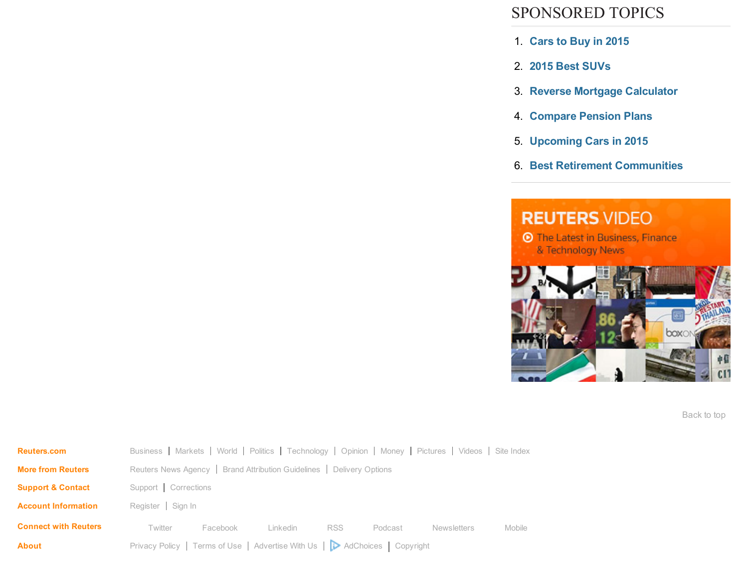## SPONSORED TOPICS

- 1. [Cars](http://search2.media.net/Cars_to_Buy_in_2015.cfm?&vsid=773770111097142&vi=1441046768568406005&dytm=1441046769986&rtbsd=6&npgv=1&verid=111299&hvsid=00001441046769565031434109718659&upk=1441046767.19602&sttm=1441046769564&=&kp=1&kbc=1200798881&kt=244&ki=321876440&ktd=37383395378069760&kbc2=||l=1016||&fdkt=244&fp=663ebxYAjC4RisuJH4VORPGU2IkfkufmI%2Bpcy7iwB7CWxoLkbRqpyz1SdsNoG8gVeCJpPpmqmK2nlOdTbLelAbc0YxLcZcw1UG7tEEPQuVfcFkPQ36OIn64sfjQ%2FC1XD&c=UppcHWg223FymQV1ipvNhQ&cme=1%2FJBA%2FJb9hgWZ2RGYA4YZblVdteoKcrR4Xwd1oifThSpAWZCibb%2FRLHZ6cxwhEfeCYTssggC48xAY4w6o7YHwuo%2FmVMIqx3N0k1BHQ9saAIalu21F5anazzr5f%2FGLIzVdkhNQVMD2enhYPXmuG466So2CElpslQuYin%2BBZpFzRWs9%2F4a4VMpw7Dsk0S1np2a4WZwkBf7C1A%3D%7C%7CNDHRnZ9Gz3KXlI%2Bi9OnZqQ%3D%3D%7C5gDUJdTGiJzedmq9hanWYg%3D%3D%7CN7fu2vKt8%2Fs%3D%7CFcl4VLL%2BIaKov1aQQ4rz0DPXnfOLjJdi4LI%2FnIV56IIyVrHJCDBh5OgV3S%2BDb%2BnO%2BHlM47aC9RKqRXqIfAQDMvikYWuVCy6A4Txg2SQVtdDA%2FD4unLcAoBlSdBcSobB4SSqloWKqOn7rztINaZVAcA%3D%3D%7CsRBSg3CPSiQ%3D%7CuvTniEvPeBPrBiFTMighd7BdGQkf8ejlyGBPvfBd6k6Z%2BB%2BeBuMl1g%3D%3D%7C&cid=8CUG1D56B&crid=133993882&size=300x250&lpid=&tsid=1&ksu=135&chid=&https=0&extKwds=0&kwdsMaxTm=400&ugd=4&maxProviderPixel=&rms=1441046772&&abpl=2) to Buy in 2015
- 2. 2015 Best [SUVs](http://search2.media.net/2015_Best_SUVs.cfm?&vsid=773770111097142&vi=1441046768568406005&dytm=1441046769986&rtbsd=6&npgv=1&verid=111299&hvsid=00001441046769565031434109718659&upk=1441046767.19602&sttm=1441046769564&=&tdAdd[]=%7C%40%7Cabp%3A3%3A2&kp=2&kbc=1200798881&kt=244&ki=321373852&ktd=37383395378069760&kbc2=||l=1016||&fdkt=244&fp=663ebxYAjC4RisuJH4VORPGU2IkfkufmI%2Bpcy7iwB7CWxoLkbRqpyz1SdsNoG8gVeCJpPpmqmK2nlOdTbLelAbc0YxLcZcw1UG7tEEPQuVfcFkPQ36OIn64sfjQ%2FC1XD&c=UppcHWg223FymQV1ipvNhQ&cme=1%2FJBA%2FJb9hgWZ2RGYA4YZblVdteoKcrR4Xwd1oifThSpAWZCibb%2FRLHZ6cxwhEfeCYTssggC48xAY4w6o7YHwuo%2FmVMIqx3N0k1BHQ9saAIalu21F5anazzr5f%2FGLIzVdkhNQVMD2enhYPXmuG466So2CElpslQuYin%2BBZpFzRWs9%2F4a4VMpw7Dsk0S1np2a4WZwkBf7C1A%3D%7C%7CNDHRnZ9Gz3KXlI%2Bi9OnZqQ%3D%3D%7C5gDUJdTGiJzedmq9hanWYg%3D%3D%7CN7fu2vKt8%2Fs%3D%7CFcl4VLL%2BIaKov1aQQ4rz0DPXnfOLjJdi4LI%2FnIV56IIyVrHJCDBh5OgV3S%2BDb%2BnO%2BHlM47aC9RKqRXqIfAQDMvikYWuVCy6A4Txg2SQVtdDA%2FD4unLcAoBlSdBcSobB4SSqloWKqOn7rztINaZVAcA%3D%3D%7CsRBSg3CPSiQ%3D%7CuvTniEvPeBPrBiFTMighd7BdGQkf8ejlyGBPvfBd6k6Z%2BB%2BeBuMl1g%3D%3D%7C&cid=8CUG1D56B&crid=133993882&size=300x250&lpid=&tsid=1&ksu=135&chid=&https=0&extKwds=0&kwdsMaxTm=400&ugd=4&maxProviderPixel=&rms=1441046772&&abpl=2)
- 3. Reverse Mortgage [Calculator](http://search2.media.net/Reverse_Mortgage_Calculator.cfm?&vsid=773770111097142&vi=1441046768568406005&dytm=1441046769986&rtbsd=6&npgv=1&verid=111299&hvsid=00001441046769565031434109718659&upk=1441046767.19602&sttm=1441046769564&=&tdAdd[]=%7C%40%7Cabp%3A3%3A2&tdAdd[]=%7C%40%7Cabp%3A3%3A2&kp=3&kbc=1200798881&kt=244&ki=24404760&ktd=37383395378069760&kbc2=||l=1016||&fdkt=244&fp=663ebxYAjC4RisuJH4VORPGU2IkfkufmI%2Bpcy7iwB7CWxoLkbRqpyz1SdsNoG8gVeCJpPpmqmK2nlOdTbLelAbc0YxLcZcw1UG7tEEPQuVfcFkPQ36OIn64sfjQ%2FC1XD&c=UppcHWg223FymQV1ipvNhQ&cme=1%2FJBA%2FJb9hgWZ2RGYA4YZblVdteoKcrR4Xwd1oifThSpAWZCibb%2FRLHZ6cxwhEfeCYTssggC48xAY4w6o7YHwuo%2FmVMIqx3N0k1BHQ9saAIalu21F5anazzr5f%2FGLIzVdkhNQVMD2enhYPXmuG466So2CElpslQuYin%2BBZpFzRWs9%2F4a4VMpw7Dsk0S1np2a4WZwkBf7C1A%3D%7C%7CNDHRnZ9Gz3KXlI%2Bi9OnZqQ%3D%3D%7C5gDUJdTGiJzedmq9hanWYg%3D%3D%7CN7fu2vKt8%2Fs%3D%7CFcl4VLL%2BIaKov1aQQ4rz0DPXnfOLjJdi4LI%2FnIV56IIyVrHJCDBh5OgV3S%2BDb%2BnO%2BHlM47aC9RKqRXqIfAQDMvikYWuVCy6A4Txg2SQVtdDA%2FD4unLcAoBlSdBcSobB4SSqloWKqOn7rztINaZVAcA%3D%3D%7CsRBSg3CPSiQ%3D%7CuvTniEvPeBPrBiFTMighd7BdGQkf8ejlyGBPvfBd6k6Z%2BB%2BeBuMl1g%3D%3D%7C&cid=8CUG1D56B&crid=133993882&size=300x250&lpid=&tsid=1&ksu=135&chid=&https=0&extKwds=0&kwdsMaxTm=400&ugd=4&maxProviderPixel=&rms=1441046772&&abpl=2)
- 4. [Compare](http://search2.media.net/Compare_Pension_Plans.cfm?&vsid=773770111097142&vi=1441046768568406005&dytm=1441046769986&rtbsd=6&npgv=1&verid=111299&hvsid=00001441046769565031434109718659&upk=1441046767.19602&sttm=1441046769564&=&tdAdd[]=%7C%40%7Cabp%3A3%3A2&tdAdd[]=%7C%40%7Cabp%3A3%3A2&tdAdd[]=%7C%40%7Cabp%3A3%3A2&kp=4&kbc=1200798881&kt=244&ki=64184559&ktd=37383395445244160&kbc2=||l=1016||&fdkt=244&fp=663ebxYAjC4RisuJH4VORPGU2IkfkufmI%2Bpcy7iwB7CWxoLkbRqpyz1SdsNoG8gVeCJpPpmqmK2nlOdTbLelAbc0YxLcZcw1UG7tEEPQuVfcFkPQ36OIn64sfjQ%2FC1XD&c=UppcHWg223FymQV1ipvNhQ&cme=1%2FJBA%2FJb9hgWZ2RGYA4YZblVdteoKcrR4Xwd1oifThSpAWZCibb%2FRLHZ6cxwhEfeCYTssggC48xAY4w6o7YHwuo%2FmVMIqx3N0k1BHQ9saAIalu21F5anazzr5f%2FGLIzVdkhNQVMD2enhYPXmuG466So2CElpslQuYin%2BBZpFzRWs9%2F4a4VMpw7Dsk0S1np2a4WZwkBf7C1A%3D%7C%7CNDHRnZ9Gz3KXlI%2Bi9OnZqQ%3D%3D%7C5gDUJdTGiJzedmq9hanWYg%3D%3D%7CN7fu2vKt8%2Fs%3D%7CFcl4VLL%2BIaKov1aQQ4rz0DPXnfOLjJdi4LI%2FnIV56IIyVrHJCDBh5OgV3S%2BDb%2BnO%2BHlM47aC9RKqRXqIfAQDMvikYWuVCy6A4Txg2SQVtdDA%2FD4unLcAoBlSdBcSobB4SSqloWKqOn7rztINaZVAcA%3D%3D%7CsRBSg3CPSiQ%3D%7CuvTniEvPeBPrBiFTMighd7BdGQkf8ejlyGBPvfBd6k6Z%2BB%2BeBuMl1g%3D%3D%7C&cid=8CUG1D56B&crid=133993882&size=300x250&lpid=&tsid=1&ksu=135&chid=&https=0&extKwds=0&kwdsMaxTm=400&ugd=4&maxProviderPixel=&rms=1441046772&&abpl=2) Pension Plans
- 5. [Upcoming](http://search2.media.net/Upcoming_Cars_in_2015.cfm?&vsid=773770111097142&vi=1441046768568406005&dytm=1441046769986&rtbsd=6&npgv=1&verid=111299&hvsid=00001441046769565031434109718659&upk=1441046767.19602&sttm=1441046769564&=&tdAdd[]=%7C%40%7Cabp%3A3%3A2&tdAdd[]=%7C%40%7Cabp%3A3%3A2&tdAdd[]=%7C%40%7Cabp%3A3%3A2&tdAdd[]=%7C%40%7Cabp%3A3%3A2&kp=5&kbc=1200798881&kt=244&ki=324640128&ktd=37383395361358080&kbc2=||l=1016||&fdkt=244&fp=663ebxYAjC4RisuJH4VORPGU2IkfkufmI%2Bpcy7iwB7CWxoLkbRqpyz1SdsNoG8gVeCJpPpmqmK2nlOdTbLelAbc0YxLcZcw1UG7tEEPQuVfcFkPQ36OIn64sfjQ%2FC1XD&c=UppcHWg223FymQV1ipvNhQ&cme=1%2FJBA%2FJb9hgWZ2RGYA4YZblVdteoKcrR4Xwd1oifThSpAWZCibb%2FRLHZ6cxwhEfeCYTssggC48xAY4w6o7YHwuo%2FmVMIqx3N0k1BHQ9saAIalu21F5anazzr5f%2FGLIzVdkhNQVMD2enhYPXmuG466So2CElpslQuYin%2BBZpFzRWs9%2F4a4VMpw7Dsk0S1np2a4WZwkBf7C1A%3D%7C%7CNDHRnZ9Gz3KXlI%2Bi9OnZqQ%3D%3D%7C5gDUJdTGiJzedmq9hanWYg%3D%3D%7CN7fu2vKt8%2Fs%3D%7CFcl4VLL%2BIaKov1aQQ4rz0DPXnfOLjJdi4LI%2FnIV56IIyVrHJCDBh5OgV3S%2BDb%2BnO%2BHlM47aC9RKqRXqIfAQDMvikYWuVCy6A4Txg2SQVtdDA%2FD4unLcAoBlSdBcSobB4SSqloWKqOn7rztINaZVAcA%3D%3D%7CsRBSg3CPSiQ%3D%7CuvTniEvPeBPrBiFTMighd7BdGQkf8ejlyGBPvfBd6k6Z%2BB%2BeBuMl1g%3D%3D%7C&cid=8CUG1D56B&crid=133993882&size=300x250&lpid=&tsid=1&ksu=135&chid=&https=0&extKwds=0&kwdsMaxTm=400&ugd=4&maxProviderPixel=&rms=1441046772&&abpl=2) Cars in 2015
- 6. Best Retirement [Communities](http://search2.media.net/Best_Retirement_Communities.cfm?&vsid=773770111097142&vi=1441046768568406005&dytm=1441046769986&rtbsd=6&npgv=1&verid=111299&hvsid=00001441046769565031434109718659&upk=1441046767.19602&sttm=1441046769564&=&tdAdd[]=%7C%40%7Cabp%3A3%3A2&tdAdd[]=%7C%40%7Cabp%3A3%3A2&tdAdd[]=%7C%40%7Cabp%3A3%3A2&tdAdd[]=%7C%40%7Cabp%3A3%3A2&tdAdd[]=%7C%40%7Cabp%3A3%3A2&kp=6&kbc=1200798881&kt=244&ki=3487599&ktd=37383395378135300&kbc2=||l=1016||&fdkt=244&fp=663ebxYAjC4RisuJH4VORPGU2IkfkufmI%2Bpcy7iwB7CWxoLkbRqpyz1SdsNoG8gVeCJpPpmqmK2nlOdTbLelAbc0YxLcZcw1UG7tEEPQuVfcFkPQ36OIn64sfjQ%2FC1XD&c=UppcHWg223FymQV1ipvNhQ&cme=1%2FJBA%2FJb9hgWZ2RGYA4YZblVdteoKcrR4Xwd1oifThSpAWZCibb%2FRLHZ6cxwhEfeCYTssggC48xAY4w6o7YHwuo%2FmVMIqx3N0k1BHQ9saAIalu21F5anazzr5f%2FGLIzVdkhNQVMD2enhYPXmuG466So2CElpslQuYin%2BBZpFzRWs9%2F4a4VMpw7Dsk0S1np2a4WZwkBf7C1A%3D%7C%7CNDHRnZ9Gz3KXlI%2Bi9OnZqQ%3D%3D%7C5gDUJdTGiJzedmq9hanWYg%3D%3D%7CN7fu2vKt8%2Fs%3D%7CFcl4VLL%2BIaKov1aQQ4rz0DPXnfOLjJdi4LI%2FnIV56IIyVrHJCDBh5OgV3S%2BDb%2BnO%2BHlM47aC9RKqRXqIfAQDMvikYWuVCy6A4Txg2SQVtdDA%2FD4unLcAoBlSdBcSobB4SSqloWKqOn7rztINaZVAcA%3D%3D%7CsRBSg3CPSiQ%3D%7CuvTniEvPeBPrBiFTMighd7BdGQkf8ejlyGBPvfBd6k6Z%2BB%2BeBuMl1g%3D%3D%7C&cid=8CUG1D56B&crid=133993882&size=300x250&lpid=&tsid=1&ksu=135&chid=&https=0&extKwds=0&kwdsMaxTm=400&ugd=4&maxProviderPixel=&rms=1441046772&&abpl=2)



Back to top

| <b>Reuters.com</b>           | Business   Markets   World   Politics   Technology   Opinion   Money   Pictures   Videos   Site Index |          |          |            |         |                    |        |  |  |
|------------------------------|-------------------------------------------------------------------------------------------------------|----------|----------|------------|---------|--------------------|--------|--|--|
| <b>More from Reuters</b>     | Reuters News Agency   Brand Attribution Guidelines   Delivery Options                                 |          |          |            |         |                    |        |  |  |
| <b>Support &amp; Contact</b> | Support   Corrections                                                                                 |          |          |            |         |                    |        |  |  |
| <b>Account Information</b>   | Register   Sign In                                                                                    |          |          |            |         |                    |        |  |  |
| <b>Connect with Reuters</b>  | Twitter                                                                                               | Facebook | Linkedin | <b>RSS</b> | Podcast | <b>Newsletters</b> | Mobile |  |  |
| <b>About</b>                 | Privacy Policy   Terms of Use   Advertise With Us     AdChoices   Copyright                           |          |          |            |         |                    |        |  |  |